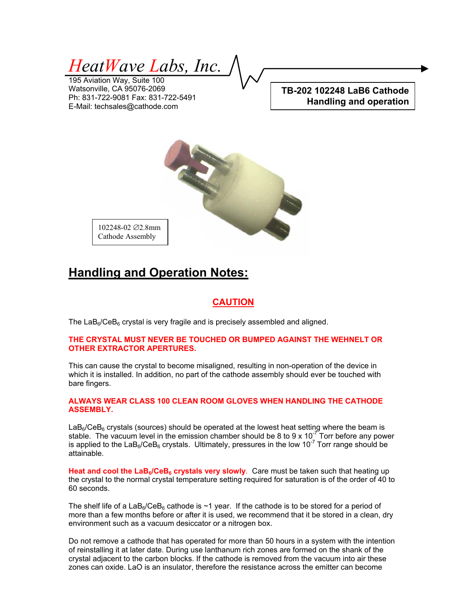*HeatWave Labs, Inc.* 

195 Aviation Way, Suite 100 Watsonville, CA 95076-2069 Ph: 831-722-9081 Fax: 831-722-5491 E-Mail: techsales@cathode.com

**TB-202 102248 LaB6 Cathode Handling and operation**



102248-02 ∅2.8mm Cathode Assembly

## **Handling and Operation Notes:**

### **CAUTION**

The  $LaB<sub>6</sub>/CeB<sub>6</sub>$  crystal is very fragile and is precisely assembled and aligned.

#### **THE CRYSTAL MUST NEVER BE TOUCHED OR BUMPED AGAINST THE WEHNELT OR OTHER EXTRACTOR APERTURES.**

This can cause the crystal to become misaligned, resulting in non-operation of the device in which it is installed. In addition, no part of the cathode assembly should ever be touched with bare fingers.

#### **ALWAYS WEAR CLASS 100 CLEAN ROOM GLOVES WHEN HANDLING THE CATHODE ASSEMBLY.**

 $LaB<sub>6</sub>/CeB<sub>6</sub>$  crystals (sources) should be operated at the lowest heat setting where the beam is stable. The vacuum level in the emission chamber should be 8 to 9 x 10<sup>-7</sup> Torr before any power is applied to the LaB<sub>6</sub>/CeB<sub>6</sub> crystals. Ultimately, pressures in the low 10<sup>-7</sup> Torr range should be attainable.

Heat and cool the LaB<sub>6</sub>/CeB<sub>6</sub> crystals very slowly. Care must be taken such that heating up the crystal to the normal crystal temperature setting required for saturation is of the order of 40 to 60 seconds.

The shelf life of a LaB<sub>6</sub>/CeB<sub>6</sub> cathode is  $\sim$ 1 year. If the cathode is to be stored for a period of more than a few months before or after it is used, we recommend that it be stored in a clean, dry environment such as a vacuum desiccator or a nitrogen box.

Do not remove a cathode that has operated for more than 50 hours in a system with the intention of reinstalling it at later date. During use lanthanum rich zones are formed on the shank of the crystal adjacent to the carbon blocks. If the cathode is removed from the vacuum into air these zones can oxide. LaO is an insulator, therefore the resistance across the emitter can become